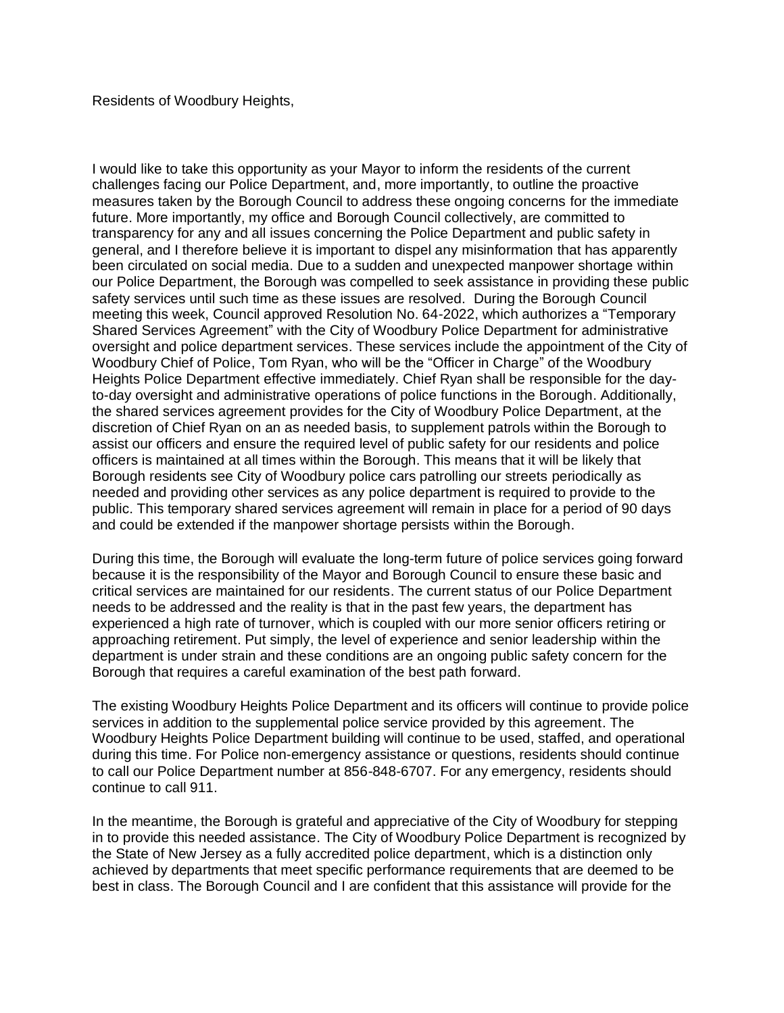Residents of Woodbury Heights,

I would like to take this opportunity as your Mayor to inform the residents of the current challenges facing our Police Department, and, more importantly, to outline the proactive measures taken by the Borough Council to address these ongoing concerns for the immediate future. More importantly, my office and Borough Council collectively, are committed to transparency for any and all issues concerning the Police Department and public safety in general, and I therefore believe it is important to dispel any misinformation that has apparently been circulated on social media. Due to a sudden and unexpected manpower shortage within our Police Department, the Borough was compelled to seek assistance in providing these public safety services until such time as these issues are resolved. During the Borough Council meeting this week, Council approved Resolution No. 64-2022, which authorizes a "Temporary Shared Services Agreement" with the City of Woodbury Police Department for administrative oversight and police department services. These services include the appointment of the City of Woodbury Chief of Police, Tom Ryan, who will be the "Officer in Charge" of the Woodbury Heights Police Department effective immediately. Chief Ryan shall be responsible for the dayto-day oversight and administrative operations of police functions in the Borough. Additionally, the shared services agreement provides for the City of Woodbury Police Department, at the discretion of Chief Ryan on an as needed basis, to supplement patrols within the Borough to assist our officers and ensure the required level of public safety for our residents and police officers is maintained at all times within the Borough. This means that it will be likely that Borough residents see City of Woodbury police cars patrolling our streets periodically as needed and providing other services as any police department is required to provide to the public. This temporary shared services agreement will remain in place for a period of 90 days and could be extended if the manpower shortage persists within the Borough.

During this time, the Borough will evaluate the long-term future of police services going forward because it is the responsibility of the Mayor and Borough Council to ensure these basic and critical services are maintained for our residents. The current status of our Police Department needs to be addressed and the reality is that in the past few years, the department has experienced a high rate of turnover, which is coupled with our more senior officers retiring or approaching retirement. Put simply, the level of experience and senior leadership within the department is under strain and these conditions are an ongoing public safety concern for the Borough that requires a careful examination of the best path forward.

The existing Woodbury Heights Police Department and its officers will continue to provide police services in addition to the supplemental police service provided by this agreement. The Woodbury Heights Police Department building will continue to be used, staffed, and operational during this time. For Police non-emergency assistance or questions, residents should continue to call our Police Department number at 856-848-6707. For any emergency, residents should continue to call 911.

In the meantime, the Borough is grateful and appreciative of the City of Woodbury for stepping in to provide this needed assistance. The City of Woodbury Police Department is recognized by the State of New Jersey as a fully accredited police department, which is a distinction only achieved by departments that meet specific performance requirements that are deemed to be best in class. The Borough Council and I are confident that this assistance will provide for the